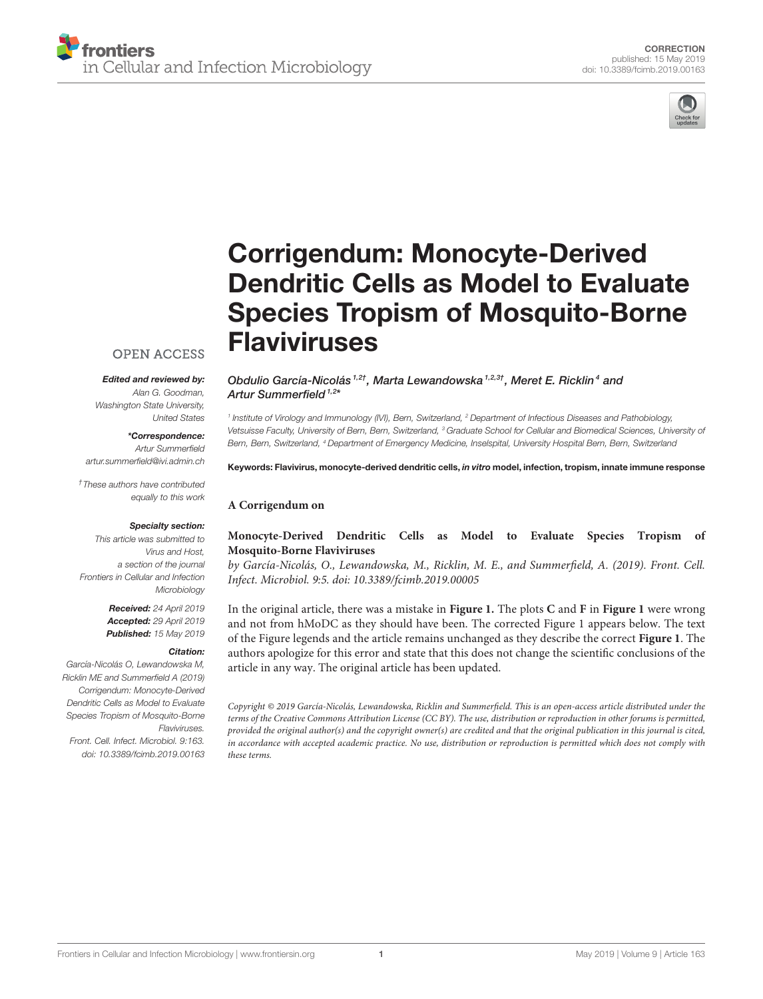



# Corrigendum: Monocyte-Derived [Dendritic Cells as Model to Evaluate](https://www.frontiersin.org/articles/10.3389/fcimb.2019.00163/full) Species Tropism of Mosquito-Borne Flaviviruses

## **OPEN ACCESS**

### Edited and reviewed by:

Alan G. Goodman, Washington State University, United States

\*Correspondence:

Artur Summerfield [artur.summerfield@ivi.admin.ch](mailto:artur.summerfield@ivi.admin.ch)

†These authors have contributed equally to this work

#### Specialty section:

This article was submitted to Virus and Host, a section of the journal Frontiers in Cellular and Infection Microbiology

> Received: 24 April 2019 Accepted: 29 April 2019 Published: 15 May 2019

#### Citation:

García-Nicolás O, Lewandowska M, Ricklin ME and Summerfield A (2019) Corrigendum: Monocyte-Derived Dendritic Cells as Model to Evaluate Species Tropism of Mosquito-Borne Flaviviruses. Front. Cell. Infect. Microbiol. 9:163.

doi: [10.3389/fcimb.2019.00163](https://doi.org/10.3389/fcimb.2019.00163)

[Obdulio García-Nicolás](http://loop.frontiersin.org/people/305950/overview)<sup>1,2†</sup>, [Marta Lewandowska](http://loop.frontiersin.org/people/666605/overview)<sup>1,2,3†</sup>, [Meret E. Ricklin](http://loop.frontiersin.org/people/353752/overview)<sup>4</sup> and [Artur Summerfield](http://loop.frontiersin.org/people/24997/overview) <sup>1,2\*</sup>

<sup>1</sup> Institute of Virology and Immunology (IVI), Bern, Switzerland, <sup>2</sup> Department of Infectious Diseases and Pathobiology, Vetsuisse Faculty, University of Bern, Bern, Switzerland, <sup>3</sup> Graduate School for Cellular and Biomedical Sciences, University of Bern, Bern, Switzerland, <sup>4</sup> Department of Emergency Medicine, Inselspital, University Hospital Bern, Bern, Switzerland

#### Keywords: Flavivirus, monocyte-derived dendritic cells, in vitro model, infection, tropism, innate immune response

## **A Corrigendum on**

## **[Monocyte-Derived Dendritic Cells as Model to Evaluate Species Tropism of](https://doi.org/10.3389/fcimb.2019.00005) Mosquito-Borne Flaviviruses**

by García-Nicolás, O., Lewandowska, M., Ricklin, M. E., and Summerfield, A. (2019). Front. Cell. Infect. Microbiol. 9:5. doi: [10.3389/fcimb.2019.00005](https://doi.org/10.3389/fcimb.2019.00005)

In the original article, there was a mistake in **[Figure 1.](#page-1-0)** The plots **C** and **F** in **[Figure 1](#page-1-0)** were wrong and not from hMoDC as they should have been. The corrected Figure 1 appears below. The text of the Figure legends and the article remains unchanged as they describe the correct **[Figure 1](#page-1-0)**. The authors apologize for this error and state that this does not change the scientific conclusions of the article in any way. The original article has been updated.

Copyright © 2019 García-Nicolás, Lewandowska, Ricklin and Summerfield. This is an open-access article distributed under the terms of the [Creative Commons Attribution License \(CC BY\).](http://creativecommons.org/licenses/by/4.0/) The use, distribution or reproduction in other forums is permitted, provided the original author(s) and the copyright owner(s) are credited and that the original publication in this journal is cited, in accordance with accepted academic practice. No use, distribution or reproduction is permitted which does not comply with these terms.